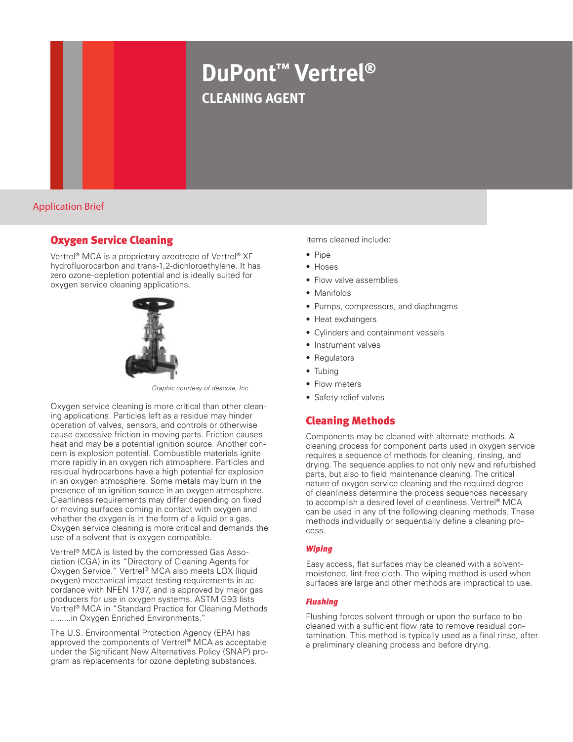# **DuPont™ Vertrel® cleaning agent**

Application Brief

# Oxygen Service Cleaning

Vertrel® MCA is a proprietary azeotrope of Vertrel® XF hydrofluorocarbon and trans-1,2-dichloroethylene. It has zero ozone-depletion potential and is ideally suited for oxygen service cleaning applications.



*Graphic courtesy of descote, Inc.*

Oxygen service cleaning is more critical than other cleaning applications. Particles left as a residue may hinder operation of valves, sensors, and controls or otherwise cause excessive friction in moving parts. Friction causes heat and may be a potential ignition source. Another concern is explosion potential. Combustible materials ignite more rapidly in an oxygen rich atmosphere. Particles and residual hydrocarbons have a high potential for explosion in an oxygen atmosphere. Some metals may burn in the presence of an ignition source in an oxygen atmosphere. Cleanliness requirements may differ depending on fixed or moving surfaces coming in contact with oxygen and whether the oxygen is in the form of a liquid or a gas. Oxygen service cleaning is more critical and demands the use of a solvent that is oxygen compatible.

Vertrel® MCA is listed by the compressed Gas Association (CGA) in its "Directory of Cleaning Agents for Oxygen Service." Vertrel® MCA also meets LOX (liquid oxygen) mechanical impact testing requirements in accordance with NFEN 1797, and is approved by major gas producers for use in oxygen systems. ASTM G93 lists Vertrel® MCA in "Standard Practice for Cleaning Methods .........in Oxygen Enriched Environments.'

The U.S. Environmental Protection Agency (EPA) has approved the components of Vertrel® MCA as acceptable under the Significant New Alternatives Policy (SNAP) program as replacements for ozone depleting substances.

Items cleaned include:

- Pine
- Hoses
- Flow valve assemblies
- Manifolds
- Pumps, compressors, and diaphragms
- Heat exchangers
- Cylinders and containment vessels
- Instrument valves
- Regulators
- Tubing
- Flow meters
- Safety relief valves

# Cleaning Methods

Components may be cleaned with alternate methods. A cleaning process for component parts used in oxygen service requires a sequence of methods for cleaning, rinsing, and drying. The sequence applies to not only new and refurbished parts, but also to field maintenance cleaning. The critical nature of oxygen service cleaning and the required degree of cleanliness determine the process sequences necessary to accomplish a desired level of cleanliness. Vertrel® MCA can be used in any of the following cleaning methods. These methods individually or sequentially define a cleaning process.

## *Wiping*

Easy access, flat surfaces may be cleaned with a solventmoistened, lint-free cloth. The wiping method is used when surfaces are large and other methods are impractical to use.

## *Flushing*

Flushing forces solvent through or upon the surface to be cleaned with a sufficient flow rate to remove residual contamination. This method is typically used as a final rinse, after a preliminary cleaning process and before drying.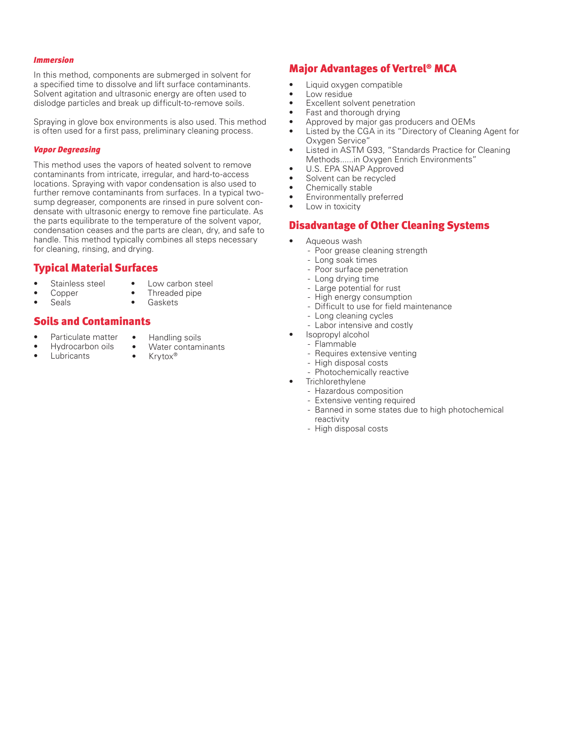#### *Immersion*

In this method, components are submerged in solvent for a specified time to dissolve and lift surface contaminants. Solvent agitation and ultrasonic energy are often used to dislodge particles and break up difficult-to-remove soils.

Spraying in glove box environments is also used. This method is often used for a first pass, preliminary cleaning process.

#### *Vapor Degreasing*

This method uses the vapors of heated solvent to remove contaminants from intricate, irregular, and hard-to-access locations. Spraying with vapor condensation is also used to further remove contaminants from surfaces. In a typical twosump degreaser, components are rinsed in pure solvent condensate with ultrasonic energy to remove fine particulate. As the parts equilibrate to the temperature of the solvent vapor, condensation ceases and the parts are clean, dry, and safe to handle. This method typically combines all steps necessary for cleaning, rinsing, and drying.

## Typical Material Surfaces

- Stainless steel Copper
- Low carbon steel Threaded pipe
- **Seals**
- • Gaskets

# Soils and Contaminants

- Particulate matter Hydrocarbon oils
	- Handling soils • Water contaminants
- Lubricants
- Krytox®
- Major Advantages of Vertrel® MCA
- • Liquid oxygen compatible
- Low residue
- • Excellent solvent penetration
- Fast and thorough drying
- Approved by major gas producers and OEMs
- Listed by the CGA in its "Directory of Cleaning Agent for Oxygen Service"
- Listed in ASTM G93, "Standards Practice for Cleaning Methods......in Oxygen Enrich Environments"
- • U.S. EPA SNAP Approved
- Solvent can be recycled
- • Chemically stable
- Environmentally preferred
- Low in toxicity

# Disadvantage of Other Cleaning Systems

- Aqueous wash
	- Poor grease cleaning strength
	- Long soak times
	- Poor surface penetration
	- Long drying time
	- Large potential for rust
	- High energy consumption
	- Difficult to use for field maintenance
	- Long cleaning cycles
	- Labor intensive and costly
	- Isopropyl alcohol
	- Flammable
	- Requires extensive venting
	- High disposal costs
	- Photochemically reactive
- **Trichlorethylene** 
	- Hazardous composition
	- Extensive venting required
	- Banned in some states due to high photochemical reactivity
	- High disposal costs